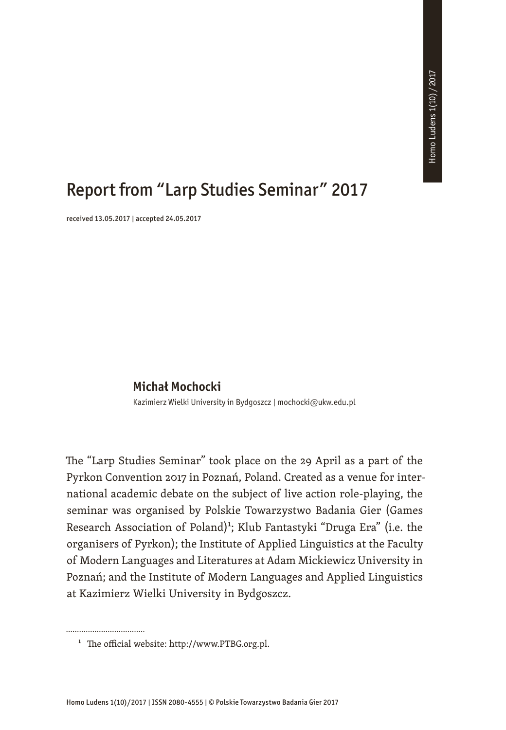## Report from "Larp Studies Seminar" 2017

received 13.05.2017 | accepted 24.05.2017

## **Michał Mochocki**

Kazimierz Wielki University in Bydgoszcz | mochocki@ukw.edu.pl

The "Larp Studies Seminar" took place on the 29 April as a part of the Pyrkon Convention 2017 in Poznań, Poland. Created as a venue for international academic debate on the subject of live action role-playing, the seminar was organised by Polskie Towarzystwo Badania Gier (Games Research Association of Poland)<sup>1</sup>; Klub Fantastyki "Druga Era" (i.e. the organisers of Pyrkon); the Institute of Applied Linguistics at the Faculty of Modern Languages and Literatures at Adam Mickiewicz University in Poznań; and the Institute of Modern Languages and Applied Linguistics at Kazimierz Wielki University in Bydgoszcz.

<sup>&</sup>lt;sup>1</sup> The official website: http://www.PTBG.org.pl.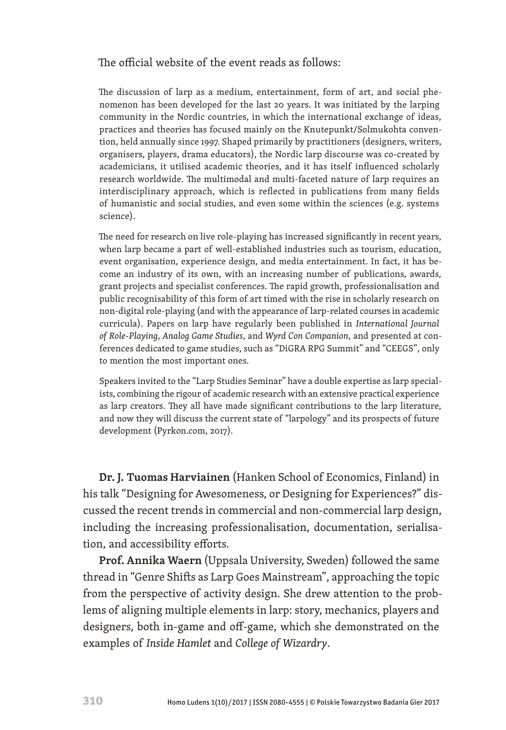## The official website of the event reads as follows:

The discussion of larp as a medium, entertainment, form of art, and social phenomenon has been developed for the last 20 years. It was initiated by the larping community in the Nordic countries, in which the international exchange of ideas, practices and theories has focused mainly on the Knutepunkt/Solmukohta convention, held annually since 1997. Shaped primarily by practitioners (designers, writers, organisers, players, drama educators), the Nordic larp discourse was co-created by academicians, it utilised academic theories, and it has itself influenced scholarly research worldwide. The multimodal and multi-faceted nature of larp requires an interdisciplinary approach, which is reflected in publications from many fields of humanistic and social studies, and even some within the sciences (e.g. systems science).

The need for research on live role-playing has increased significantly in recent years, when larp became a part of well-established industries such as tourism, education, event organisation, experience design, and media entertainment. In fact, it has become an industry of its own, with an increasing number of publications, awards, grant projects and specialist conferences. The rapid growth, professionalisation and public recognisability of this form of art timed with the rise in scholarly research on non-digital role-playing (and with the appearance of larp-related courses in academic curricula). Papers on larp have regularly been published in *International Journal of Role-Playing*, *Analog Game Studies*, and *Wyrd Con Companion*, and presented at conferences dedicated to game studies, such as "DiGRA RPG Summit" and "CEEGS", only to mention the most important ones.

Speakers invited to the "Larp Studies Seminar" have a double expertise as larp specialists, combining the rigour of academic research with an extensive practical experience as larp creators. They all have made significant contributions to the larp literature, and now they will discuss the current state of "larpology" and its prospects of future development (Pyrkon.com, 2017).

**Dr. J. Tuomas Harviainen** (Hanken School of Economics, Finland) in his talk "Designing for Awesomeness, or Designing for Experiences?" discussed the recent trends in commercial and non-commercial larp design, including the increasing professionalisation, documentation, serialisation, and accessibility efforts.

**Prof. Annika Waern** (Uppsala University, Sweden) followed the same thread in "Genre Shifts as Larp Goes Mainstream", approaching the topic from the perspective of activity design. She drew attention to the problems of aligning multiple elements in larp: story, mechanics, players and designers, both in-game and off-game, which she demonstrated on the examples of *Inside Hamlet* and *College of Wizardry*.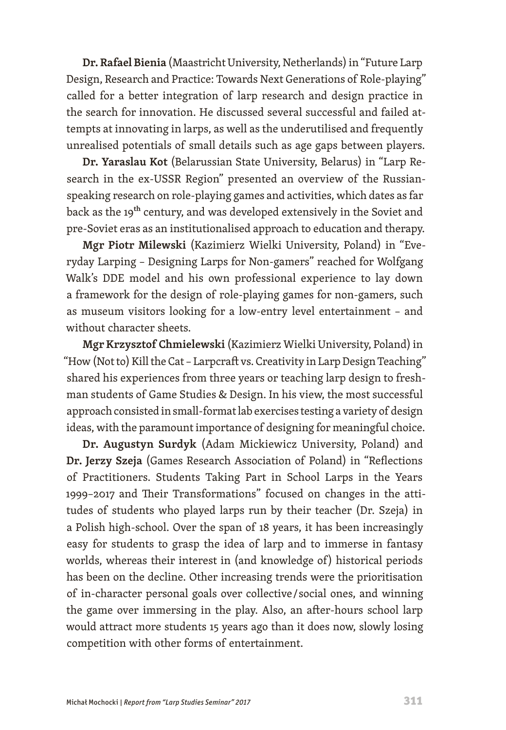**Dr. Rafael Bienia** (Maastricht University, Netherlands) in "Future Larp Design, Research and Practice: Towards Next Generations of Role-playing" called for a better integration of larp research and design practice in the search for innovation. He discussed several successful and failed attempts at innovating in larps, as well as the underutilised and frequently unrealised potentials of small details such as age gaps between players.

**Dr. Yaraslau Kot** (Belarussian State University, Belarus) in "Larp Research in the ex-USSR Region" presented an overview of the Russianspeaking research on role-playing games and activities, which dates as far back as the 19<sup>th</sup> century, and was developed extensively in the Soviet and pre-Soviet eras as an institutionalised approach to education and therapy.

**Mgr Piotr Milewski** (Kazimierz Wielki University, Poland) in "Everyday Larping – Designing Larps for Non-gamers" reached for Wolfgang Walk's DDE model and his own professional experience to lay down a framework for the design of role-playing games for non-gamers, such as museum visitors looking for a low-entry level entertainment – and without character sheets.

**Mgr Krzysztof Chmielewski** (Kazimierz Wielki University, Poland) in "How (Not to) Kill the Cat – Larpcraft vs. Creativity in Larp Design Teaching" shared his experiences from three years or teaching larp design to freshman students of Game Studies & Design. In his view, the most successful approach consisted in small-format lab exercises testing a variety of design ideas, with the paramount importance of designing for meaningful choice.

**Dr. Augustyn Surdyk** (Adam Mickiewicz University, Poland) and **Dr. Jerzy Szeja** (Games Research Association of Poland) in "Reflections of Practitioners. Students Taking Part in School Larps in the Years 1999–2017 and Their Transformations" focused on changes in the attitudes of students who played larps run by their teacher (Dr. Szeja) in a Polish high-school. Over the span of 18 years, it has been increasingly easy for students to grasp the idea of larp and to immerse in fantasy worlds, whereas their interest in (and knowledge of) historical periods has been on the decline. Other increasing trends were the prioritisation of in-character personal goals over collective / social ones, and winning the game over immersing in the play. Also, an after-hours school larp would attract more students 15 years ago than it does now, slowly losing competition with other forms of entertainment.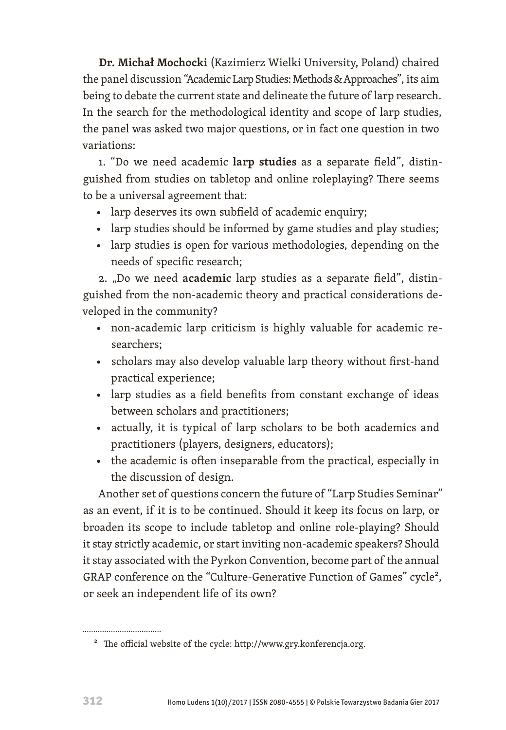**Dr. Michał Mochocki** (Kazimierz Wielki University, Poland) chaired the panel discussion "Academic Larp Studies: Methods & Approaches", its aim being to debate the current state and delineate the future of larp research. In the search for the methodological identity and scope of larp studies, the panel was asked two major questions, or in fact one question in two variations:

1. "Do we need academic **larp studies** as a separate field", distinguished from studies on tabletop and online roleplaying? There seems to be a universal agreement that:

- larp deserves its own subfield of academic enquiry;
- larp studies should be informed by game studies and play studies;
- larp studies is open for various methodologies, depending on the needs of specific research;

2. "Do we need **academic** larp studies as a separate field", distinguished from the non-academic theory and practical considerations developed in the community?

- non-academic larp criticism is highly valuable for academic researchers;
- scholars may also develop valuable larp theory without first-hand practical experience;
- larp studies as a field benefits from constant exchange of ideas between scholars and practitioners;
- actually, it is typical of larp scholars to be both academics and practitioners (players, designers, educators);
- the academic is often inseparable from the practical, especially in the discussion of design.

Another set of questions concern the future of "Larp Studies Seminar" as an event, if it is to be continued. Should it keep its focus on larp, or broaden its scope to include tabletop and online role-playing? Should it stay strictly academic, or start inviting non-academic speakers? Should it stay associated with the Pyrkon Convention, become part of the annual GRAP conference on the "Culture-Generative Function of Games" cycle<sup>2</sup>, or seek an independent life of its own?

<sup>2</sup> The official website of the cycle: http://www.gry.konferencja.org.